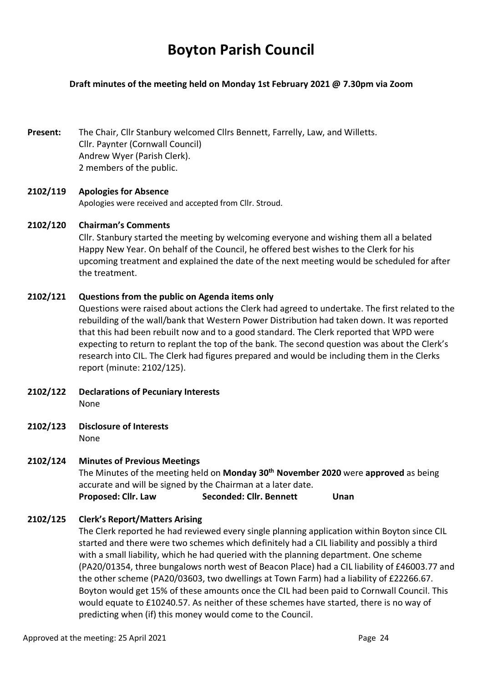# **Boyton Parish Council**

## **Draft minutes of the meeting held on Monday 1st February 2021 @ 7.30pm via Zoom**

**Present:** The Chair, Cllr Stanbury welcomed Cllrs Bennett, Farrelly, Law, and Willetts. Cllr. Paynter (Cornwall Council) Andrew Wyer (Parish Clerk). 2 members of the public.

## **2102/119 Apologies for Absence**

Apologies were received and accepted from Cllr. Stroud.

## **2102/120 Chairman's Comments**

Cllr. Stanbury started the meeting by welcoming everyone and wishing them all a belated Happy New Year. On behalf of the Council, he offered best wishes to the Clerk for his upcoming treatment and explained the date of the next meeting would be scheduled for after the treatment.

## **2102/121 Questions from the public on Agenda items only**

Questions were raised about actions the Clerk had agreed to undertake. The first related to the rebuilding of the wall/bank that Western Power Distribution had taken down. It was reported that this had been rebuilt now and to a good standard. The Clerk reported that WPD were expecting to return to replant the top of the bank. The second question was about the Clerk's research into CIL. The Clerk had figures prepared and would be including them in the Clerks report (minute: 2102/125).

- **2102/122 Declarations of Pecuniary Interests** None
- **2102/123 Disclosure of Interests**

None

## **2102/124 Minutes of Previous Meetings**

The Minutes of the meeting held on **Monday 30th November 2020** were **approved** as being accurate and will be signed by the Chairman at a later date.

**Proposed: Cllr. Law Seconded: Cllr. Bennett Unan** 

# **2102/125 Clerk's Report/Matters Arising**

The Clerk reported he had reviewed every single planning application within Boyton since CIL started and there were two schemes which definitely had a CIL liability and possibly a third with a small liability, which he had queried with the planning department. One scheme (PA20/01354, three bungalows north west of Beacon Place) had a CIL liability of £46003.77 and the other scheme (PA20/03603, two dwellings at Town Farm) had a liability of £22266.67. Boyton would get 15% of these amounts once the CIL had been paid to Cornwall Council. This would equate to £10240.57. As neither of these schemes have started, there is no way of predicting when (if) this money would come to the Council.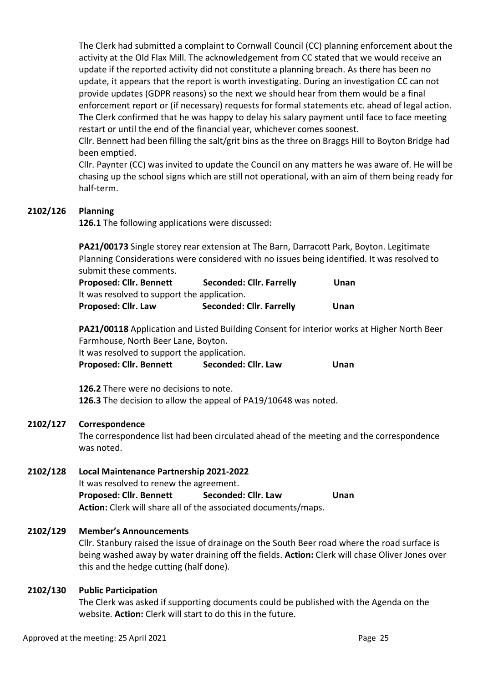The Clerk had submitted a complaint to Cornwall Council (CC) planning enforcement about the activity at the Old Flax Mill. The acknowledgement from CC stated that we would receive an update if the reported activity did not constitute a planning breach. As there has been no update, it appears that the report is worth investigating. During an investigation CC can not provide updates (GDPR reasons) so the next we should hear from them would be a final enforcement report or (if necessary) requests for formal statements etc. ahead of legal action. The Clerk confirmed that he was happy to delay his salary payment until face to face meeting restart or until the end of the financial year, whichever comes soonest.

Cllr. Bennett had been filling the salt/grit bins as the three on Braggs Hill to Boyton Bridge had been emptied.

Cllr. Paynter (CC) was invited to update the Council on any matters he was aware of. He will be chasing up the school signs which are still not operational, with an aim of them being ready for half-term.

## **2102/126 Planning**

**126.1** The following applications were discussed:

**PA21/00173** Single storey rear extension at The Barn, Darracott Park, Boyton. Legitimate Planning Considerations were considered with no issues being identified. It was resolved to submit these comments.

| <b>Proposed: Cllr. Bennett</b>              | <b>Seconded: Cllr. Farrelly</b> | Unan |
|---------------------------------------------|---------------------------------|------|
| It was resolved to support the application. |                                 |      |
| <b>Proposed: Cllr. Law</b>                  | <b>Seconded: Cllr. Farrelly</b> | Unan |

**PA21/00118** Application and Listed Building Consent for interior works at Higher North Beer Farmhouse, North Beer Lane, Boyton.

It was resolved to support the application.

Proposed: Cllr. Bennett Seconded: Cllr. Law Unan

**126.2** There were no decisions to note. **126.3** The decision to allow the appeal of PA19/10648 was noted.

## **2102/127 Correspondence**

The correspondence list had been circulated ahead of the meeting and the correspondence was noted.

## **2102/128 Local Maintenance Partnership 2021-2022**

It was resolved to renew the agreement. Proposed: Cllr. Bennett Seconded: Cllr. Law Unan **Action:** Clerk will share all of the associated documents/maps.

# **2102/129 Member's Announcements**

Cllr. Stanbury raised the issue of drainage on the South Beer road where the road surface is being washed away by water draining off the fields. **Action:** Clerk will chase Oliver Jones over this and the hedge cutting (half done).

## **2102/130 Public Participation**

The Clerk was asked if supporting documents could be published with the Agenda on the website. **Action:** Clerk will start to do this in the future.